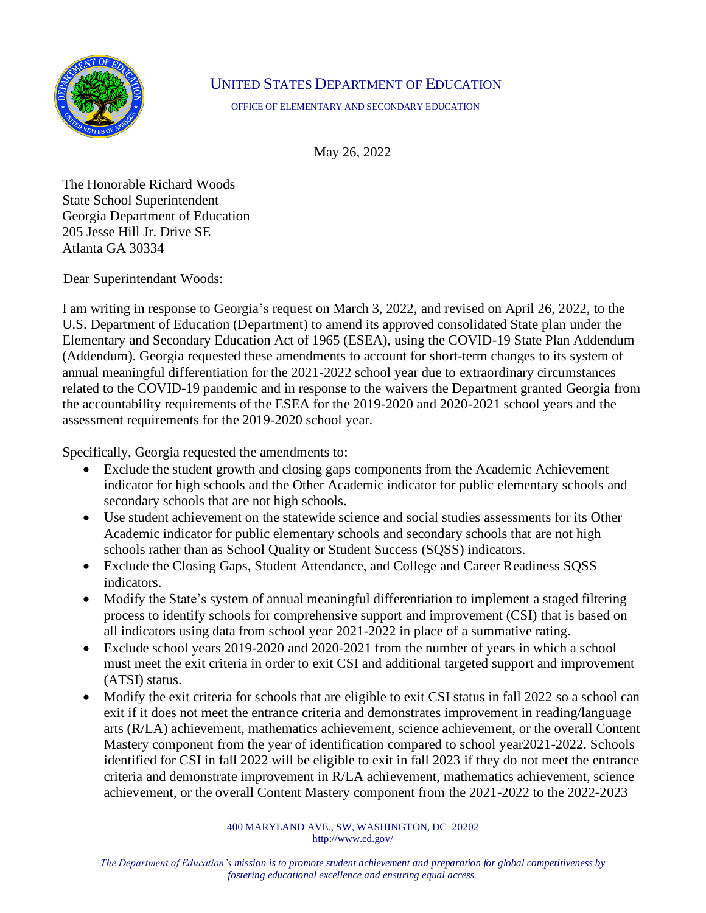

## UNITED STATES DEPARTMENT OF EDUCATION

OFFICE OF ELEMENTARY AND SECONDARY EDUCATION

May 26, 2022

The Honorable Richard Woods State School Superintendent Georgia Department of Education 205 Jesse Hill Jr. Drive SE Atlanta GA 30334

Dear Superintendant Woods:

I am writing in response to Georgia's request on March 3, 2022, and revised on April 26, 2022, to the U.S. Department of Education (Department) to amend its approved consolidated State plan under the Elementary and Secondary Education Act of 1965 (ESEA), using the COVID-19 State Plan Addendum (Addendum). Georgia requested these amendments to account for short-term changes to its system of annual meaningful differentiation for the 2021-2022 school year due to extraordinary circumstances related to the COVID-19 pandemic and in response to the waivers the Department granted Georgia from the accountability requirements of the ESEA for the 2019-2020 and 2020-2021 school years and the assessment requirements for the 2019-2020 school year.

Specifically, Georgia requested the amendments to:

- Exclude the student growth and closing gaps components from the Academic Achievement indicator for high schools and the Other Academic indicator for public elementary schools and secondary schools that are not high schools.
- Use student achievement on the statewide science and social studies assessments for its Other Academic indicator for public elementary schools and secondary schools that are not high schools rather than as School Quality or Student Success (SQSS) indicators.
- Exclude the Closing Gaps, Student Attendance, and College and Career Readiness SOSS indicators.
- Modify the State's system of annual meaningful differentiation to implement a staged filtering process to identify schools for comprehensive support and improvement (CSI) that is based on all indicators using data from school year 2021-2022 in place of a summative rating.
- Exclude school years 2019-2020 and 2020-2021 from the number of years in which a school must meet the exit criteria in order to exit CSI and additional targeted support and improvement (ATSI) status.
- Modify the exit criteria for schools that are eligible to exit CSI status in fall 2022 so a school can exit if it does not meet the entrance criteria and demonstrates improvement in reading/language arts (R/LA) achievement, mathematics achievement, science achievement, or the overall Content Mastery component from the year of identification compared to school year2021-2022. Schools identified for CSI in fall 2022 will be eligible to exit in fall 2023 if they do not meet the entrance criteria and demonstrate improvement in R/LA achievement, mathematics achievement, science achievement, or the overall Content Mastery component from the 2021-2022 to the 2022-2023

400 MARYLAND AVE., SW, WASHINGTON, DC 20202 http://www.ed.gov/